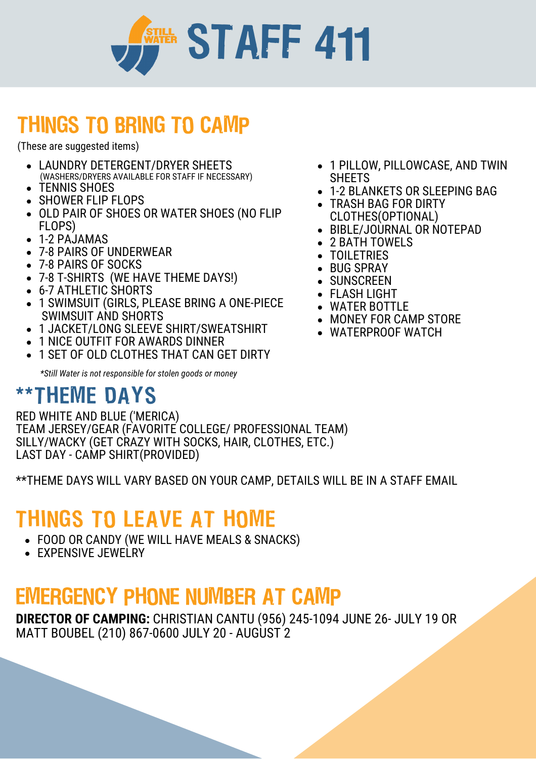

## THINGS TO BRING TO CAMP

(These are suggested items)

- LAUNDRY DETERGENT/DRYER SHEETS (WASHERS/DRYERS AVAILABLE FOR STAFF IF NECESSARY)
- TENNIS SHOES
- SHOWER FLIP FLOPS
- OLD PAIR OF SHOES OR WATER SHOES (NO FLIP FLOPS)
- 1-2 PAJAMAS
- 7-8 PAIRS OF UNDERWEAR
- 7-8 PAIRS OF SOCKS
- 7-8 T-SHIRTS (WE HAVE THEME DAYS!)
- 6-7 ATHLETIC SHORTS
- 1 SWIMSUIT (GIRLS, PLEASE BRING A ONE-PIECE SWIMSUIT AND SHORTS
- 1 JACKET/LONG SLEEVE SHIRT/SWEATSHIRT
- 1 NICE OUTFIT FOR AWARDS DINNER
- 1 SET OF OLD CLOTHES THAT CAN GET DIRTY

*\*Still Water is not responsible for stolen goods or money*

### \*\*THEME DAYS

RED WHITE AND BLUE ('MERICA) TEAM JERSEY/GEAR (FAVORITE COLLEGE/ PROFESSIONAL TEAM) SILLY/WACKY (GET CRAZY WITH SOCKS, HAIR, CLOTHES, ETC.) LAST DAY - CAMP SHIRT(PROVIDED)

\*\*THEME DAYS WILL VARY BASED ON YOUR CAMP, DETAILS WILL BE IN A STAFF EMAIL

## THINGS TO LEAVE AT HOME

- FOOD OR CANDY (WE WILL HAVE MEALS & SNACKS)
- EXPENSIVE JEWELRY

### EMERGENCY PHONE NUMBER AT CAMP

**DIRECTOR OF CAMPING:** CHRISTIAN CANTU (956) 245-1094 JUNE 26- JULY 19 OR MATT BOUBEL (210) 867-0600 JULY 20 - AUGUST 2

- 1 PILLOW, PILLOWCASE, AND TWIN SHEETS
- 1-2 BLANKETS OR SLEEPING BAG
- TRASH BAG FOR DIRTY CLOTHES(OPTIONAL)
- BIBLE/JOURNAL OR NOTEPAD
- 2 BATH TOWELS
- TOIL FTRIES
- BUG SPRAY
- SUNSCREEN
- FLASH LIGHT
- WATER BOTTLE
- MONEY FOR CAMP STORE
- WATERPROOF WATCH